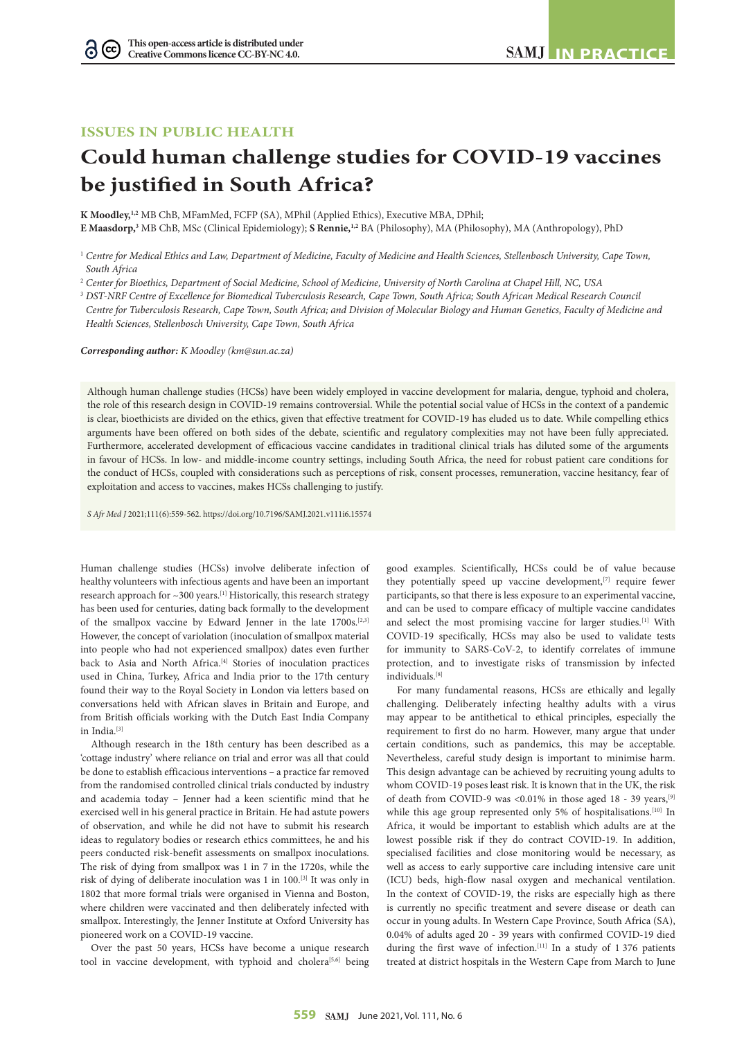## **ISSUES IN PUBLIC HEALTH**

# **Could human challenge studies for COVID-19 vaccines be justified in South Africa?**

**K Moodley,1,2** MB ChB, MFamMed, FCFP (SA), MPhil (Applied Ethics), Executive MBA, DPhil;

**E Maasdorp,3** MB ChB, MSc (Clinical Epidemiology); **S Rennie,1,2** BA (Philosophy), MA (Philosophy), MA (Anthropology), PhD

2  *Center for Bioethics, Department of Social Medicine, School of Medicine, University of North Carolina at Chapel Hill, NC, USA*

<sup>3</sup> *DST-NRF Centre of Excellence for Biomedical Tuberculosis Research, Cape Town, South Africa; South African Medical Research Council Centre for Tuberculosis Research, Cape Town, South Africa; and Division of Molecular Biology and Human Genetics, Faculty of Medicine and Health Sciences, Stellenbosch University, Cape Town, South Africa*

*Corresponding author: K Moodley (km@sun.ac.za)*

Although human challenge studies (HCSs) have been widely employed in vaccine development for malaria, dengue, typhoid and cholera, the role of this research design in COVID-19 remains controversial. While the potential social value of HCSs in the context of a pandemic is clear, bioethicists are divided on the ethics, given that effective treatment for COVID-19 has eluded us to date. While compelling ethics arguments have been offered on both sides of the debate, scientific and regulatory complexities may not have been fully appreciated. Furthermore, accelerated development of efficacious vaccine candidates in traditional clinical trials has diluted some of the arguments in favour of HCSs. In low- and middle-income country settings, including South Africa, the need for robust patient care conditions for the conduct of HCSs, coupled with considerations such as perceptions of risk, consent processes, remuneration, vaccine hesitancy, fear of exploitation and access to vaccines, makes HCSs challenging to justify.

*S Afr Med J* 2021;111(6):559-562. https://doi.org/10.7196/SAMJ.2021.v111i6.15574

Human challenge studies (HCSs) involve deliberate infection of healthy volunteers with infectious agents and have been an important research approach for  $\sim$  300 years.<sup>[1]</sup> Historically, this research strategy has been used for centuries, dating back formally to the development of the smallpox vaccine by Edward Jenner in the late 1700s.<sup>[2,3]</sup> However, the concept of variolation (inoculation of smallpox material into people who had not experienced smallpox) dates even further back to Asia and North Africa.<sup>[4]</sup> Stories of inoculation practices used in China, Turkey, Africa and India prior to the 17th century found their way to the Royal Society in London via letters based on conversations held with African slaves in Britain and Europe, and from British officials working with the Dutch East India Company in India.[3]

Although research in the 18th century has been described as a 'cottage industry' where reliance on trial and error was all that could be done to establish efficacious interventions – a practice far removed from the randomised controlled clinical trials conducted by industry and academia today – Jenner had a keen scientific mind that he exercised well in his general practice in Britain. He had astute powers of observation, and while he did not have to submit his research ideas to regulatory bodies or research ethics committees, he and his peers conducted risk-benefit assessments on smallpox inoculations. The risk of dying from smallpox was 1 in 7 in the 1720s, while the risk of dying of deliberate inoculation was 1 in 100.[3] It was only in 1802 that more formal trials were organised in Vienna and Boston, where children were vaccinated and then deliberately infected with smallpox. Interestingly, the Jenner Institute at Oxford University has pioneered work on a COVID-19 vaccine.

Over the past 50 years, HCSs have become a unique research tool in vaccine development, with typhoid and cholera<sup>[5,6]</sup> being

good examples. Scientifically, HCSs could be of value because they potentially speed up vaccine development,<sup>[7]</sup> require fewer participants, so that there is less exposure to an experimental vaccine, and can be used to compare efficacy of multiple vaccine candidates and select the most promising vaccine for larger studies.<sup>[1]</sup> With COVID-19 specifically, HCSs may also be used to validate tests for immunity to SARS-CoV-2, to identify correlates of immune protection, and to investigate risks of transmission by infected individuals.[8]

For many fundamental reasons, HCSs are ethically and legally challenging. Deliberately infecting healthy adults with a virus may appear to be antithetical to ethical principles, especially the requirement to first do no harm. However, many argue that under certain conditions, such as pandemics, this may be acceptable. Nevertheless, careful study design is important to minimise harm. This design advantage can be achieved by recruiting young adults to whom COVID-19 poses least risk. It is known that in the UK, the risk of death from COVID-9 was <0.01% in those aged 18 - 39 years,[9] while this age group represented only 5% of hospitalisations.<sup>[10]</sup> In Africa, it would be important to establish which adults are at the lowest possible risk if they do contract COVID-19. In addition, specialised facilities and close monitoring would be necessary, as well as access to early supportive care including intensive care unit (ICU) beds, high-flow nasal oxygen and mechanical ventilation. In the context of COVID-19, the risks are especially high as there is currently no specific treatment and severe disease or death can occur in young adults. In Western Cape Province, South Africa (SA), 0.04% of adults aged 20 - 39 years with confirmed COVID-19 died during the first wave of infection.<sup>[11]</sup> In a study of 1 376 patients treated at district hospitals in the Western Cape from March to June

<sup>1</sup> *Centre for Medical Ethics and Law, Department of Medicine, Faculty of Medicine and Health Sciences, Stellenbosch University, Cape Town, South Africa*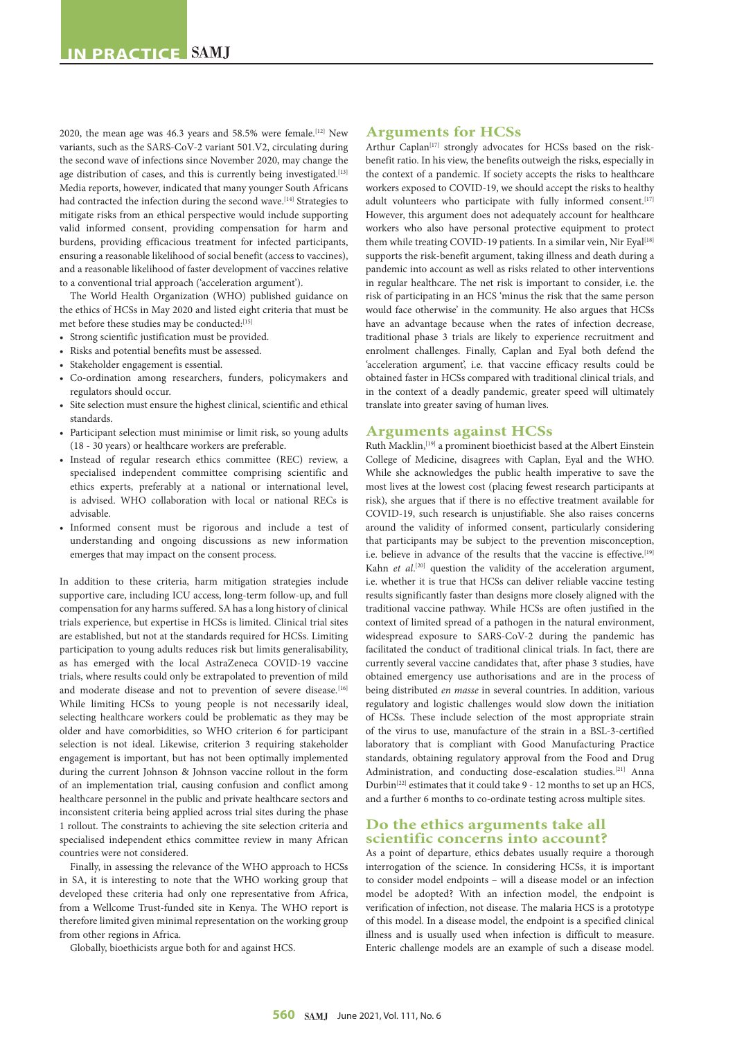2020, the mean age was 46.3 years and 58.5% were female.<sup>[12]</sup> New variants, such as the SARS-CoV-2 variant 501.V2, circulating during the second wave of infections since November 2020, may change the age distribution of cases, and this is currently being investigated.<sup>[13]</sup> Media reports, however, indicated that many younger South Africans had contracted the infection during the second wave.<sup>[14]</sup> Strategies to mitigate risks from an ethical perspective would include supporting valid informed consent, providing compensation for harm and burdens, providing efficacious treatment for infected participants, ensuring a reasonable likelihood of social benefit (access to vaccines), and a reasonable likelihood of faster development of vaccines relative to a conventional trial approach ('acceleration argument').

The World Health Organization (WHO) published guidance on the ethics of HCSs in May 2020 and listed eight criteria that must be met before these studies may be conducted:[15]

- Strong scientific justification must be provided.
- Risks and potential benefits must be assessed.
- Stakeholder engagement is essential.
- Co-ordination among researchers, funders, policymakers and regulators should occur.
- Site selection must ensure the highest clinical, scientific and ethical standards.
- Participant selection must minimise or limit risk, so young adults (18 - 30 years) or healthcare workers are preferable.
- Instead of regular research ethics committee (REC) review, a specialised independent committee comprising scientific and ethics experts, preferably at a national or international level, is advised. WHO collaboration with local or national RECs is advisable.
- Informed consent must be rigorous and include a test of understanding and ongoing discussions as new information emerges that may impact on the consent process.

In addition to these criteria, harm mitigation strategies include supportive care, including ICU access, long-term follow-up, and full compensation for any harms suffered. SA has a long history of clinical trials experience, but expertise in HCSs is limited. Clinical trial sites are established, but not at the standards required for HCSs. Limiting participation to young adults reduces risk but limits generalisability, as has emerged with the local AstraZeneca COVID-19 vaccine trials, where results could only be extrapolated to prevention of mild and moderate disease and not to prevention of severe disease.<sup>[16]</sup> While limiting HCSs to young people is not necessarily ideal, selecting healthcare workers could be problematic as they may be older and have comorbidities, so WHO criterion 6 for participant selection is not ideal. Likewise, criterion 3 requiring stakeholder engagement is important, but has not been optimally implemented during the current Johnson & Johnson vaccine rollout in the form of an implementation trial, causing confusion and conflict among healthcare personnel in the public and private healthcare sectors and inconsistent criteria being applied across trial sites during the phase 1 rollout. The constraints to achieving the site selection criteria and specialised independent ethics committee review in many African countries were not considered.

Finally, in assessing the relevance of the WHO approach to HCSs in SA, it is interesting to note that the WHO working group that developed these criteria had only one representative from Africa, from a Wellcome Trust-funded site in Kenya. The WHO report is therefore limited given minimal representation on the working group from other regions in Africa.

Globally, bioethicists argue both for and against HCS.

### **Arguments for HCSs**

Arthur Caplan<sup>[17]</sup> strongly advocates for HCSs based on the riskbenefit ratio. In his view, the benefits outweigh the risks, especially in the context of a pandemic. If society accepts the risks to healthcare workers exposed to COVID-19, we should accept the risks to healthy adult volunteers who participate with fully informed consent.[17] However, this argument does not adequately account for healthcare workers who also have personal protective equipment to protect them while treating COVID-19 patients. In a similar vein, Nir Eyal<sup>[18]</sup> supports the risk-benefit argument, taking illness and death during a pandemic into account as well as risks related to other interventions in regular healthcare. The net risk is important to consider, i.e. the risk of participating in an HCS 'minus the risk that the same person would face otherwise' in the community. He also argues that HCSs have an advantage because when the rates of infection decrease, traditional phase 3 trials are likely to experience recruitment and enrolment challenges. Finally, Caplan and Eyal both defend the 'acceleration argument', i.e. that vaccine efficacy results could be obtained faster in HCSs compared with traditional clinical trials, and in the context of a deadly pandemic, greater speed will ultimately translate into greater saving of human lives.

#### **Arguments against HCSs**

Ruth Macklin,<sup>[19]</sup> a prominent bioethicist based at the Albert Einstein College of Medicine, disagrees with Caplan, Eyal and the WHO. While she acknowledges the public health imperative to save the most lives at the lowest cost (placing fewest research participants at risk), she argues that if there is no effective treatment available for COVID-19, such research is unjustifiable. She also raises concerns around the validity of informed consent, particularly considering that participants may be subject to the prevention misconception, i.e. believe in advance of the results that the vaccine is effective.<sup>[19]</sup> Kahn *et al.*<sup>[20]</sup> question the validity of the acceleration argument, i.e. whether it is true that HCSs can deliver reliable vaccine testing results significantly faster than designs more closely aligned with the traditional vaccine pathway. While HCSs are often justified in the context of limited spread of a pathogen in the natural environment, widespread exposure to SARS-CoV-2 during the pandemic has facilitated the conduct of traditional clinical trials. In fact, there are currently several vaccine candidates that, after phase 3 studies, have obtained emergency use authorisations and are in the process of being distributed *en masse* in several countries. In addition, various regulatory and logistic challenges would slow down the initiation of HCSs. These include selection of the most appropriate strain of the virus to use, manufacture of the strain in a BSL-3-certified laboratory that is compliant with Good Manufacturing Practice standards, obtaining regulatory approval from the Food and Drug Administration, and conducting dose-escalation studies.<sup>[21]</sup> Anna Durbin[22] estimates that it could take 9 - 12 months to set up an HCS, and a further 6 months to co-ordinate testing across multiple sites.

## **Do the ethics arguments take all scientific concerns into account?**

As a point of departure, ethics debates usually require a thorough interrogation of the science. In considering HCSs, it is important to consider model endpoints – will a disease model or an infection model be adopted? With an infection model, the endpoint is verification of infection, not disease. The malaria HCS is a prototype of this model. In a disease model, the endpoint is a specified clinical illness and is usually used when infection is difficult to measure. Enteric challenge models are an example of such a disease model.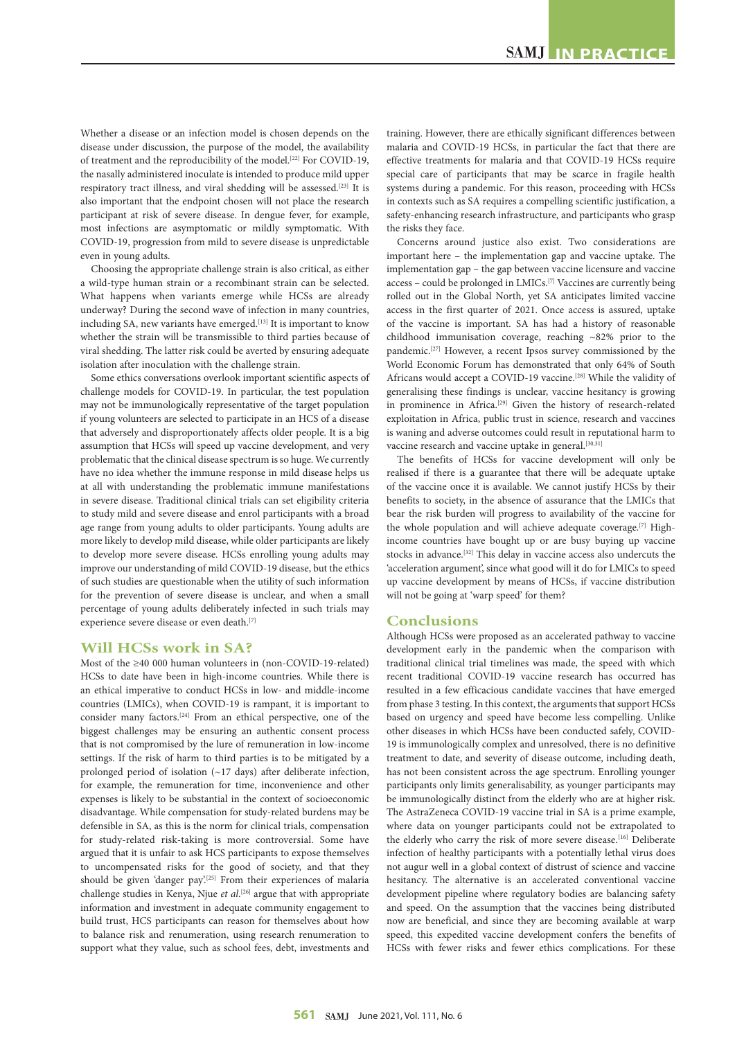Whether a disease or an infection model is chosen depends on the disease under discussion, the purpose of the model, the availability of treatment and the reproducibility of the model.<sup>[22]</sup> For COVID-19, the nasally administered inoculate is intended to produce mild upper respiratory tract illness, and viral shedding will be assessed.<sup>[23]</sup> It is also important that the endpoint chosen will not place the research participant at risk of severe disease. In dengue fever, for example, most infections are asymptomatic or mildly symptomatic. With COVID-19, progression from mild to severe disease is unpredictable even in young adults.

Choosing the appropriate challenge strain is also critical, as either a wild-type human strain or a recombinant strain can be selected. What happens when variants emerge while HCSs are already underway? During the second wave of infection in many countries, including SA, new variants have emerged.<sup>[13]</sup> It is important to know whether the strain will be transmissible to third parties because of viral shedding. The latter risk could be averted by ensuring adequate isolation after inoculation with the challenge strain.

Some ethics conversations overlook important scientific aspects of challenge models for COVID-19. In particular, the test population may not be immunologically representative of the target population if young volunteers are selected to participate in an HCS of a disease that adversely and disproportionately affects older people. It is a big assumption that HCSs will speed up vaccine development, and very problematic that the clinical disease spectrum is so huge. We currently have no idea whether the immune response in mild disease helps us at all with understanding the problematic immune manifestations in severe disease. Traditional clinical trials can set eligibility criteria to study mild and severe disease and enrol participants with a broad age range from young adults to older participants. Young adults are more likely to develop mild disease, while older participants are likely to develop more severe disease. HCSs enrolling young adults may improve our understanding of mild COVID-19 disease, but the ethics of such studies are questionable when the utility of such information for the prevention of severe disease is unclear, and when a small percentage of young adults deliberately infected in such trials may experience severe disease or even death.<sup>[7]</sup>

## **Will HCSs work in SA?**

Most of the ≥40 000 human volunteers in (non-COVID-19-related) HCSs to date have been in high-income countries. While there is an ethical imperative to conduct HCSs in low- and middle-income countries (LMICs), when COVID-19 is rampant, it is important to consider many factors.[24] From an ethical perspective, one of the biggest challenges may be ensuring an authentic consent process that is not compromised by the lure of remuneration in low-income settings. If the risk of harm to third parties is to be mitigated by a prolonged period of isolation (~17 days) after deliberate infection, for example, the remuneration for time, inconvenience and other expenses is likely to be substantial in the context of socioeconomic disadvantage. While compensation for study-related burdens may be defensible in SA, as this is the norm for clinical trials, compensation for study-related risk-taking is more controversial. Some have argued that it is unfair to ask HCS participants to expose themselves to uncompensated risks for the good of society, and that they should be given 'danger pay'.<sup>[25]</sup> From their experiences of malaria challenge studies in Kenya, Njue *et al*. [26] argue that with appropriate information and investment in adequate community engagement to build trust, HCS participants can reason for themselves about how to balance risk and renumeration, using research renumeration to support what they value, such as school fees, debt, investments and training. However, there are ethically significant differences between malaria and COVID-19 HCSs, in particular the fact that there are effective treatments for malaria and that COVID-19 HCSs require special care of participants that may be scarce in fragile health systems during a pandemic. For this reason, proceeding with HCSs in contexts such as SA requires a compelling scientific justification, a safety-enhancing research infrastructure, and participants who grasp the risks they face.

Concerns around justice also exist. Two considerations are important here – the implementation gap and vaccine uptake. The implementation gap – the gap between vaccine licensure and vaccine access – could be prolonged in LMICs.[7] Vaccines are currently being rolled out in the Global North, yet SA anticipates limited vaccine access in the first quarter of 2021. Once access is assured, uptake of the vaccine is important. SA has had a history of reasonable childhood immunisation coverage, reaching ~82% prior to the pandemic.[27] However, a recent Ipsos survey commissioned by the World Economic Forum has demonstrated that only 64% of South Africans would accept a COVID-19 vaccine.[28] While the validity of generalising these findings is unclear, vaccine hesitancy is growing in prominence in Africa.<sup>[29]</sup> Given the history of research-related exploitation in Africa, public trust in science, research and vaccines is waning and adverse outcomes could result in reputational harm to vaccine research and vaccine uptake in general.<sup>[30,31]</sup>

The benefits of HCSs for vaccine development will only be realised if there is a guarantee that there will be adequate uptake of the vaccine once it is available. We cannot justify HCSs by their benefits to society, in the absence of assurance that the LMICs that bear the risk burden will progress to availability of the vaccine for the whole population and will achieve adequate coverage.[7] Highincome countries have bought up or are busy buying up vaccine stocks in advance.<sup>[32]</sup> This delay in vaccine access also undercuts the 'acceleration argument', since what good will it do for LMICs to speed up vaccine development by means of HCSs, if vaccine distribution will not be going at 'warp speed' for them?

## **Conclusions**

Although HCSs were proposed as an accelerated pathway to vaccine development early in the pandemic when the comparison with traditional clinical trial timelines was made, the speed with which recent traditional COVID-19 vaccine research has occurred has resulted in a few efficacious candidate vaccines that have emerged from phase 3 testing. In this context, the arguments that support HCSs based on urgency and speed have become less compelling. Unlike other diseases in which HCSs have been conducted safely, COVID-19 is immunologically complex and unresolved, there is no definitive treatment to date, and severity of disease outcome, including death, has not been consistent across the age spectrum. Enrolling younger participants only limits generalisability, as younger participants may be immunologically distinct from the elderly who are at higher risk. The AstraZeneca COVID-19 vaccine trial in SA is a prime example, where data on younger participants could not be extrapolated to the elderly who carry the risk of more severe disease.<sup>[16]</sup> Deliberate infection of healthy participants with a potentially lethal virus does not augur well in a global context of distrust of science and vaccine hesitancy. The alternative is an accelerated conventional vaccine development pipeline where regulatory bodies are balancing safety and speed. On the assumption that the vaccines being distributed now are beneficial, and since they are becoming available at warp speed, this expedited vaccine development confers the benefits of HCSs with fewer risks and fewer ethics complications. For these